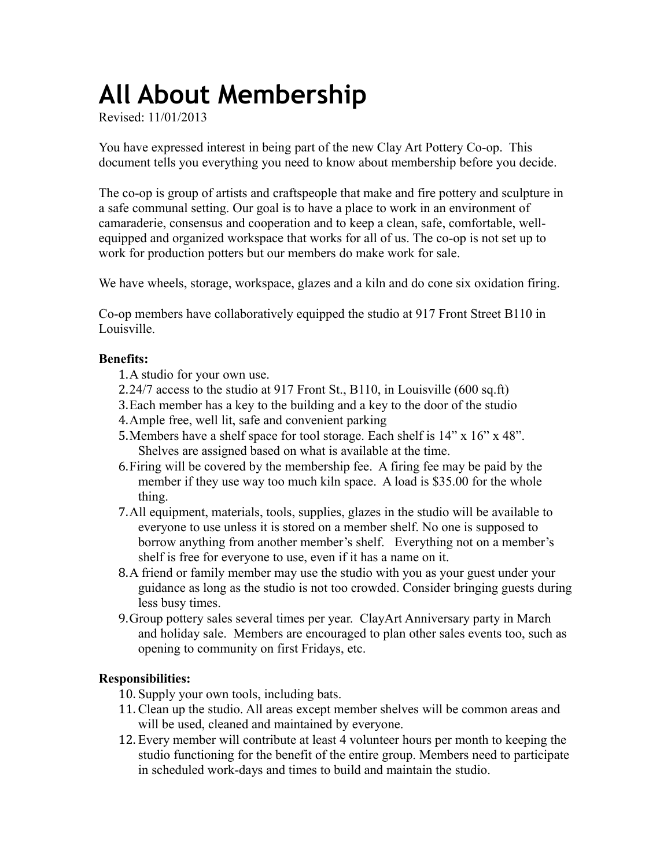# **All About Membership**

Revised: 11/01/2013

You have expressed interest in being part of the new Clay Art Pottery Co-op. This document tells you everything you need to know about membership before you decide.

The co-op is group of artists and craftspeople that make and fire pottery and sculpture in a safe communal setting. Our goal is to have a place to work in an environment of camaraderie, consensus and cooperation and to keep a clean, safe, comfortable, wellequipped and organized workspace that works for all of us. The co-op is not set up to work for production potters but our members do make work for sale.

We have wheels, storage, workspace, glazes and a kiln and do cone six oxidation firing.

Co-op members have collaboratively equipped the studio at 917 Front Street B110 in Louisville.

# **Benefits:**

- 1.A studio for your own use.
- 2.24/7 access to the studio at 917 Front St., B110, in Louisville (600 sq.ft)
- 3.Each member has a key to the building and a key to the door of the studio
- 4.Ample free, well lit, safe and convenient parking
- 5.Members have a shelf space for tool storage. Each shelf is 14" x 16" x 48". Shelves are assigned based on what is available at the time.
- 6.Firing will be covered by the membership fee. A firing fee may be paid by the member if they use way too much kiln space. A load is \$35.00 for the whole thing.
- 7.All equipment, materials, tools, supplies, glazes in the studio will be available to everyone to use unless it is stored on a member shelf. No one is supposed to borrow anything from another member's shelf. Everything not on a member's shelf is free for everyone to use, even if it has a name on it.
- 8.A friend or family member may use the studio with you as your guest under your guidance as long as the studio is not too crowded. Consider bringing guests during less busy times.
- 9.Group pottery sales several times per year. ClayArt Anniversary party in March and holiday sale. Members are encouraged to plan other sales events too, such as opening to community on first Fridays, etc.

# **Responsibilities:**

- 10. Supply your own tools, including bats.
- 11. Clean up the studio. All areas except member shelves will be common areas and will be used, cleaned and maintained by everyone.
- 12. Every member will contribute at least 4 volunteer hours per month to keeping the studio functioning for the benefit of the entire group. Members need to participate in scheduled work-days and times to build and maintain the studio.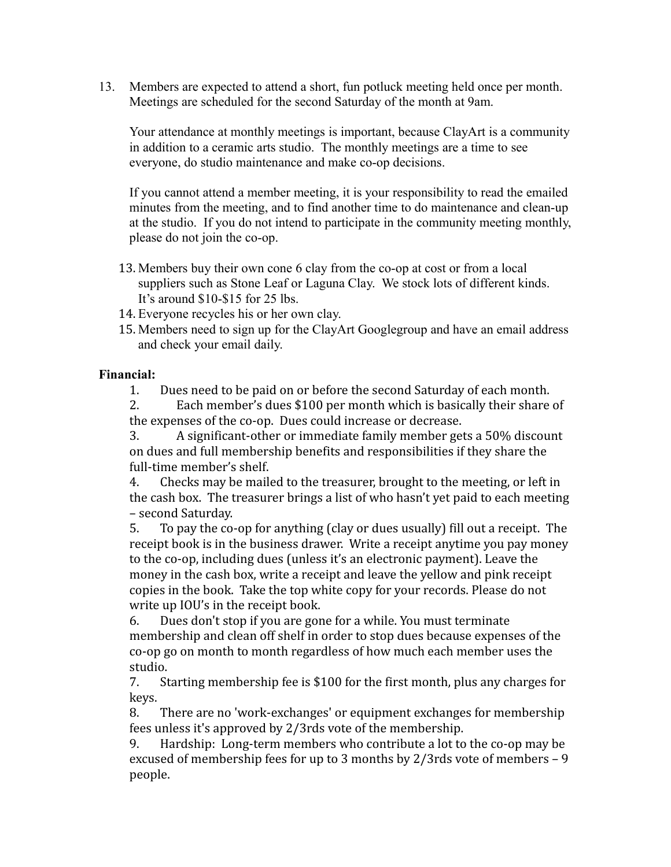13. Members are expected to attend a short, fun potluck meeting held once per month. Meetings are scheduled for the second Saturday of the month at 9am.

Your attendance at monthly meetings is important, because ClayArt is a community in addition to a ceramic arts studio. The monthly meetings are a time to see everyone, do studio maintenance and make co-op decisions.

If you cannot attend a member meeting, it is your responsibility to read the emailed minutes from the meeting, and to find another time to do maintenance and clean-up at the studio. If you do not intend to participate in the community meeting monthly, please do not join the co-op.

- 13. Members buy their own cone 6 clay from the co-op at cost or from a local suppliers such as Stone Leaf or Laguna Clay. We stock lots of different kinds. It's around \$10-\$15 for 25 lbs.
- 14. Everyone recycles his or her own clay.
- 15. Members need to sign up for the ClayArt Googlegroup and have an email address and check your email daily.

#### **Financial:**

1. Dues need to be paid on or before the second Saturday of each month.

2. Each member's dues \$100 per month which is basically their share of the expenses of the co-op. Dues could increase or decrease.

3. A significant-other or immediate family member gets a 50% discount on dues and full membership benefits and responsibilities if they share the full-time member's shelf.

4. Checks may be mailed to the treasurer, brought to the meeting, or left in the cash box. The treasurer brings a list of who hasn't yet paid to each meeting – second Saturday.

5. To pay the co-op for anything (clay or dues usually) fill out a receipt. The receipt book is in the business drawer. Write a receipt anytime you pay money to the co-op, including dues (unless it's an electronic payment). Leave the money in the cash box, write a receipt and leave the yellow and pink receipt copies in the book. Take the top white copy for your records. Please do not write up IOU's in the receipt book.

6. Dues don't stop if you are gone for a while. You must terminate membership and clean off shelf in order to stop dues because expenses of the co-op go on month to month regardless of how much each member uses the studio.

7. Starting membership fee is \$100 for the first month, plus any charges for keys.

8. There are no 'work-exchanges' or equipment exchanges for membership fees unless it's approved by 2/3rds vote of the membership.

9. Hardship: Long-term members who contribute a lot to the co-op may be excused of membership fees for up to 3 months by 2/3rds vote of members – 9 people.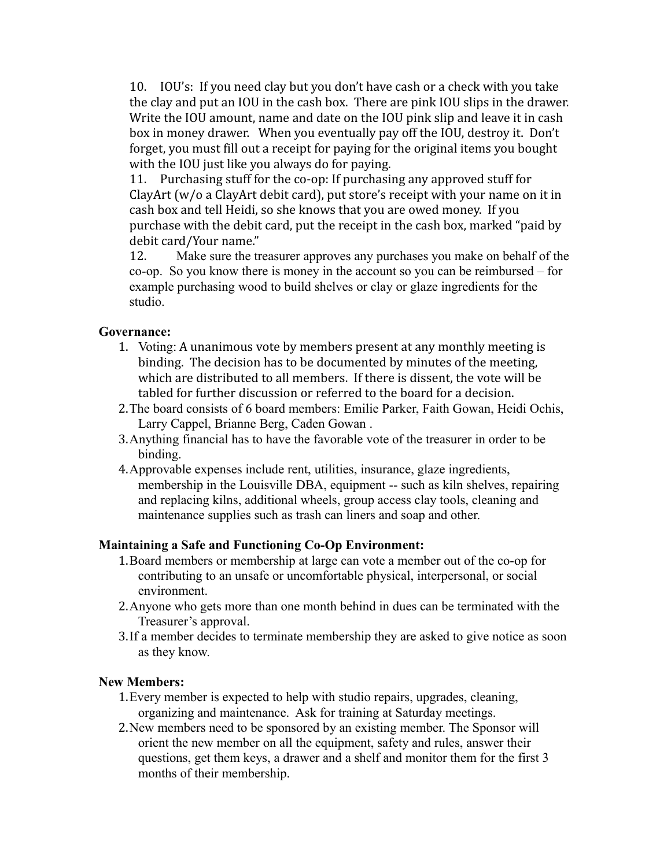10. IOU's: If you need clay but you don't have cash or a check with you take the clay and put an IOU in the cash box. There are pink IOU slips in the drawer. Write the IOU amount, name and date on the IOU pink slip and leave it in cash box in money drawer. When you eventually pay off the IOU, destroy it. Don't forget, you must fill out a receipt for paying for the original items you bought with the IOU just like you always do for paying.

11. Purchasing stuff for the co-op: If purchasing any approved stuff for ClayArt (w/o a ClayArt debit card), put store's receipt with your name on it in cash box and tell Heidi, so she knows that you are owed money. If you purchase with the debit card, put the receipt in the cash box, marked "paid by debit card/Your name."

12. Make sure the treasurer approves any purchases you make on behalf of the co-op. So you know there is money in the account so you can be reimbursed – for example purchasing wood to build shelves or clay or glaze ingredients for the studio.

## **Governance:**

- 1. Voting: A unanimous vote by members present at any monthly meeting is binding. The decision has to be documented by minutes of the meeting, which are distributed to all members. If there is dissent, the vote will be tabled for further discussion or referred to the board for a decision.
- 2.The board consists of 6 board members: Emilie Parker, Faith Gowan, Heidi Ochis, Larry Cappel, Brianne Berg, Caden Gowan .
- 3.Anything financial has to have the favorable vote of the treasurer in order to be binding.
- 4.Approvable expenses include rent, utilities, insurance, glaze ingredients, membership in the Louisville DBA, equipment -- such as kiln shelves, repairing and replacing kilns, additional wheels, group access clay tools, cleaning and maintenance supplies such as trash can liners and soap and other.

# **Maintaining a Safe and Functioning Co-Op Environment:**

- 1.Board members or membership at large can vote a member out of the co-op for contributing to an unsafe or uncomfortable physical, interpersonal, or social environment.
- 2.Anyone who gets more than one month behind in dues can be terminated with the Treasurer's approval.
- 3.If a member decides to terminate membership they are asked to give notice as soon as they know.

## **New Members:**

- 1.Every member is expected to help with studio repairs, upgrades, cleaning, organizing and maintenance. Ask for training at Saturday meetings.
- 2.New members need to be sponsored by an existing member. The Sponsor will orient the new member on all the equipment, safety and rules, answer their questions, get them keys, a drawer and a shelf and monitor them for the first 3 months of their membership.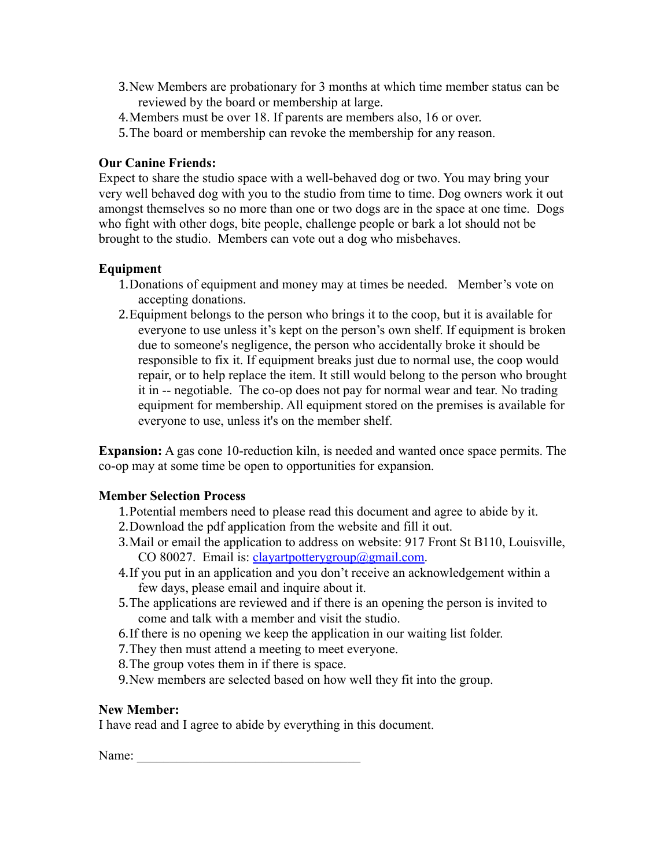- 3.New Members are probationary for 3 months at which time member status can be reviewed by the board or membership at large.
- 4.Members must be over 18. If parents are members also, 16 or over.
- 5.The board or membership can revoke the membership for any reason.

## **Our Canine Friends:**

Expect to share the studio space with a well-behaved dog or two. You may bring your very well behaved dog with you to the studio from time to time. Dog owners work it out amongst themselves so no more than one or two dogs are in the space at one time. Dogs who fight with other dogs, bite people, challenge people or bark a lot should not be brought to the studio. Members can vote out a dog who misbehaves.

# **Equipment**

- 1.Donations of equipment and money may at times be needed. Member's vote on accepting donations.
- 2.Equipment belongs to the person who brings it to the coop, but it is available for everyone to use unless it's kept on the person's own shelf. If equipment is broken due to someone's negligence, the person who accidentally broke it should be responsible to fix it. If equipment breaks just due to normal use, the coop would repair, or to help replace the item. It still would belong to the person who brought it in -- negotiable. The co-op does not pay for normal wear and tear. No trading equipment for membership. All equipment stored on the premises is available for everyone to use, unless it's on the member shelf.

**Expansion:** A gas cone 10-reduction kiln, is needed and wanted once space permits. The co-op may at some time be open to opportunities for expansion.

#### **Member Selection Process**

- 1.Potential members need to please read this document and agree to abide by it.
- 2.Download the pdf application from the website and fill it out.
- 3.Mail or email the application to address on website: 917 Front St B110, Louisville, CO 80027. Email is: [clayartpotterygroup@gmail.com.](mailto:clayartpotterygroup@gmail.com)
- 4.If you put in an application and you don't receive an acknowledgement within a few days, please email and inquire about it.
- 5.The applications are reviewed and if there is an opening the person is invited to come and talk with a member and visit the studio.
- 6.If there is no opening we keep the application in our waiting list folder.
- 7.They then must attend a meeting to meet everyone.
- 8.The group votes them in if there is space.
- 9.New members are selected based on how well they fit into the group.

#### **New Member:**

I have read and I agree to abide by everything in this document.

Name: \_\_\_\_\_\_\_\_\_\_\_\_\_\_\_\_\_\_\_\_\_\_\_\_\_\_\_\_\_\_\_\_\_\_